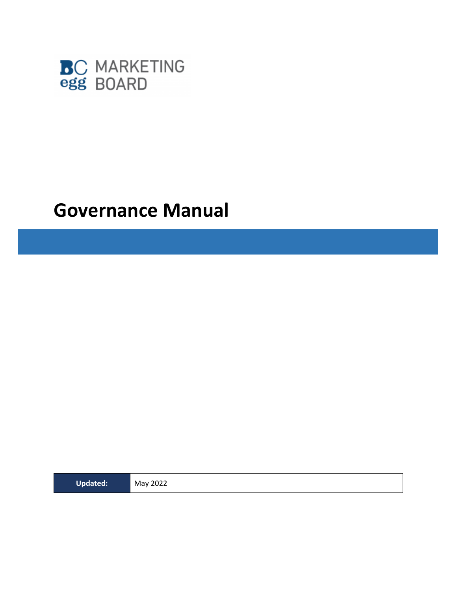

## **Governance Manual**

**Updated:** May 2022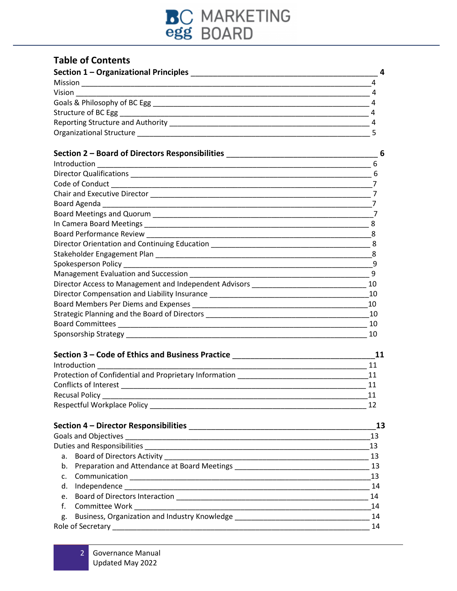

## **Table of Contents**

| Section 1 - Organizational Principles |  |
|---------------------------------------|--|
| Mission                               |  |
| Vision                                |  |
| Goals & Philosophy of BC Egg          |  |
| Structure of BC Egg                   |  |
| Reporting Structure and Authority     |  |
| <b>Organizational Structure</b>       |  |

| Section 2 - Board of Directors Responsibilities ________________________________ |    |
|----------------------------------------------------------------------------------|----|
|                                                                                  |    |
|                                                                                  |    |
|                                                                                  |    |
|                                                                                  |    |
|                                                                                  |    |
|                                                                                  |    |
|                                                                                  |    |
|                                                                                  |    |
| Director Orientation and Continuing Education __________________________________ | 8  |
|                                                                                  | 8  |
|                                                                                  | 9  |
|                                                                                  | q  |
| Director Access to Management and Independent Advisors _________________________ | 10 |
| Director Compensation and Liability Insurance __________________________________ | 10 |
|                                                                                  | 10 |
| Strategic Planning and the Board of Directors __________________________________ | 10 |
|                                                                                  | 10 |
|                                                                                  | 10 |

| Section 3 – Code of Ethics and Business Practice       |    |
|--------------------------------------------------------|----|
| Introduction                                           | 11 |
| Protection of Confidential and Proprietary Information |    |
| Conflicts of Interest                                  |    |
| <b>Recusal Policy</b>                                  |    |
| <b>Respectful Workplace Policy</b>                     |    |

|    | 13              |
|----|-----------------|
|    | 13              |
|    | - 13            |
|    | 13              |
|    |                 |
|    | $\overline{13}$ |
| d. | - 14            |
| e. | 14              |
| f. | 14              |
| g. |                 |
|    | 14              |
|    |                 |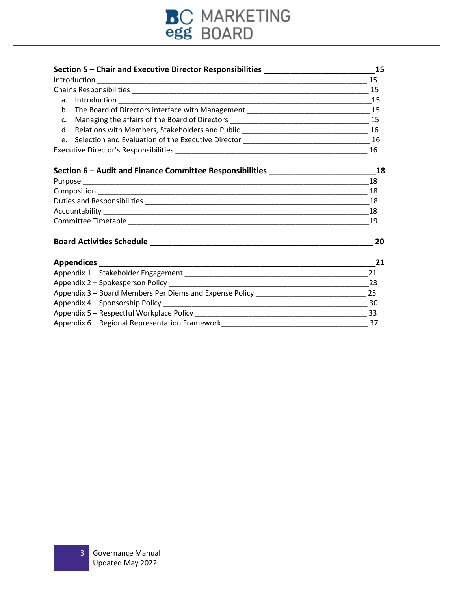

| Section 5 - Chair and Executive Director Responsibilities ______________________             | 15 |
|----------------------------------------------------------------------------------------------|----|
|                                                                                              | 15 |
|                                                                                              | 15 |
|                                                                                              |    |
|                                                                                              |    |
|                                                                                              |    |
|                                                                                              |    |
|                                                                                              |    |
|                                                                                              | 16 |
|                                                                                              |    |
| Section 6 - Audit and Finance Committee Responsibilities ________________________18          |    |
|                                                                                              | 18 |
|                                                                                              | 18 |
|                                                                                              |    |
|                                                                                              |    |
|                                                                                              | 19 |
|                                                                                              | 20 |
|                                                                                              | 21 |
|                                                                                              | 21 |
|                                                                                              |    |
| Appendix 3 - Board Members Per Diems and Expense Policy __________________________________25 |    |
|                                                                                              |    |
|                                                                                              |    |
|                                                                                              |    |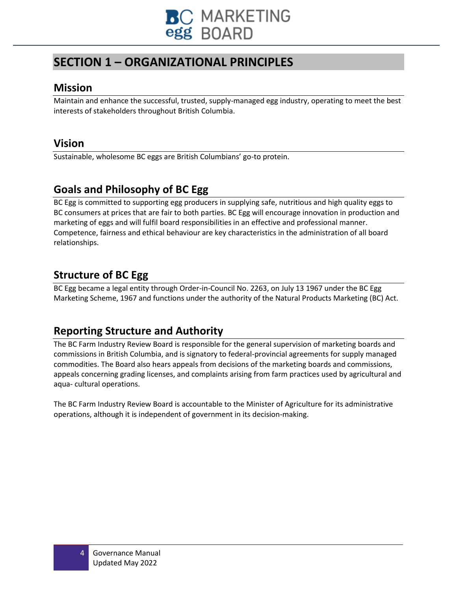

## **SECTION 1 – ORGANIZATIONAL PRINCIPLES**

### **Mission**

Maintain and enhance the successful, trusted, supply-managed egg industry, operating to meet the best interests of stakeholders throughout British Columbia.

## **Vision**

Sustainable, wholesome BC eggs are British Columbians' go-to protein.

## **Goals and Philosophy of BC Egg**

BC Egg is committed to supporting egg producers in supplying safe, nutritious and high quality eggs to BC consumers at prices that are fair to both parties. BC Egg will encourage innovation in production and marketing of eggs and will fulfil board responsibilities in an effective and professional manner. Competence, fairness and ethical behaviour are key characteristics in the administration of all board relationships.

## **Structure of BC Egg**

BC Egg became a legal entity through Order-in-Council No. 2263, on July 13 1967 under the BC Egg Marketing Scheme, 1967 and functions under the authority of the Natural Products Marketing (BC) Act.

## **Reporting Structure and Authority**

The BC Farm Industry Review Board is responsible for the general supervision of marketing boards and commissions in British Columbia, and is signatory to federal-provincial agreements for supply managed commodities. The Board also hears appeals from decisions of the marketing boards and commissions, appeals concerning grading licenses, and complaints arising from farm practices used by agricultural and aqua- cultural operations.

The BC Farm Industry Review Board is accountable to the Minister of Agriculture for its administrative operations, although it is independent of government in its decision-making.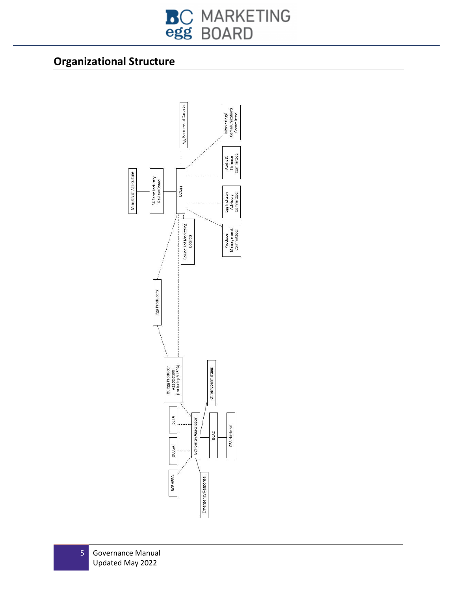# **BC MARKETING**<br>egg BOARD

## **Organizational Structure**

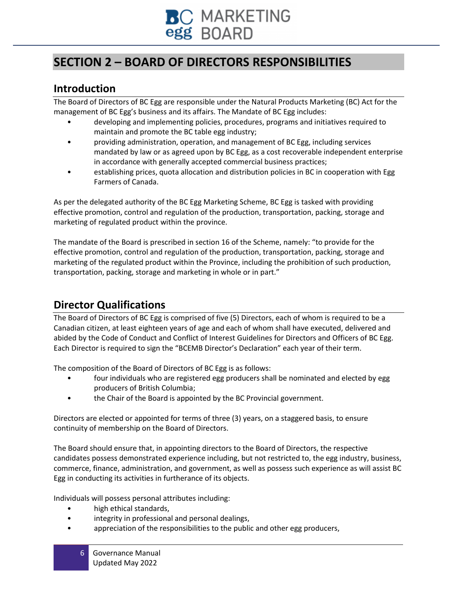

## **SECTION 2 – BOARD OF DIRECTORS RESPONSIBILITIES**

## **Introduction**

The Board of Directors of BC Egg are responsible under the Natural Products Marketing (BC) Act for the management of BC Egg's business and its affairs. The Mandate of BC Egg includes:

- developing and implementing policies, procedures, programs and initiatives required to maintain and promote the BC table egg industry;
- providing administration, operation, and management of BC Egg, including services mandated by law or as agreed upon by BC Egg, as a cost recoverable independent enterprise in accordance with generally accepted commercial business practices;
- establishing prices, quota allocation and distribution policies in BC in cooperation with Egg Farmers of Canada.

As per the delegated authority of the BC Egg Marketing Scheme, BC Egg is tasked with providing effective promotion, control and regulation of the production, transportation, packing, storage and marketing of regulated product within the province.

The mandate of the Board is prescribed in section 16 of the Scheme, namely: "to provide for the effective promotion, control and regulation of the production, transportation, packing, storage and marketing of the regulated product within the Province, including the prohibition of such production, transportation, packing, storage and marketing in whole or in part."

## **Director Qualifications**

The Board of Directors of BC Egg is comprised of five (5) Directors, each of whom is required to be a Canadian citizen, at least eighteen years of age and each of whom shall have executed, delivered and abided by the Code of Conduct and Conflict of Interest Guidelines for Directors and Officers of BC Egg. Each Director is required to sign the "BCEMB Director's Declaration" each year of their term.

The composition of the Board of Directors of BC Egg is as follows:

- four individuals who are registered egg producers shall be nominated and elected by egg producers of British Columbia;
- the Chair of the Board is appointed by the BC Provincial government.

Directors are elected or appointed for terms of three (3) years, on a staggered basis, to ensure continuity of membership on the Board of Directors.

The Board should ensure that, in appointing directors to the Board of Directors, the respective candidates possess demonstrated experience including, but not restricted to, the egg industry, business, commerce, finance, administration, and government, as well as possess such experience as will assist BC Egg in conducting its activities in furtherance of its objects.

Individuals will possess personal attributes including:

- high ethical standards,
- integrity in professional and personal dealings,
- appreciation of the responsibilities to the public and other egg producers,
	- 6 Governance Manual Updated May 2022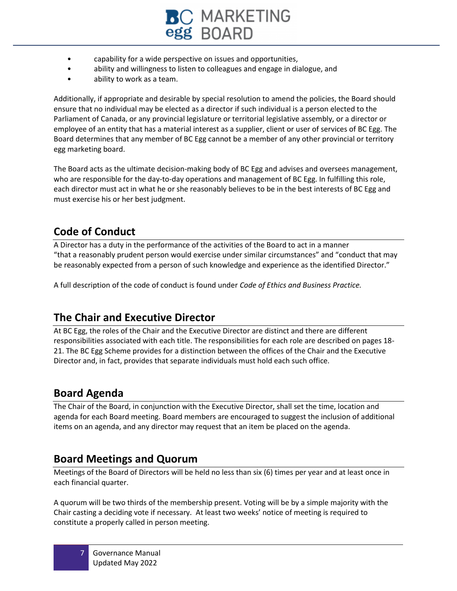

- capability for a wide perspective on issues and opportunities,
- ability and willingness to listen to colleagues and engage in dialogue, and
- ability to work as a team.

Additionally, if appropriate and desirable by special resolution to amend the policies, the Board should ensure that no individual may be elected as a director if such individual is a person elected to the Parliament of Canada, or any provincial legislature or territorial legislative assembly, or a director or employee of an entity that has a material interest as a supplier, client or user of services of BC Egg. The Board determines that any member of BC Egg cannot be a member of any other provincial or territory egg marketing board.

The Board acts as the ultimate decision-making body of BC Egg and advises and oversees management, who are responsible for the day-to-day operations and management of BC Egg. In fulfilling this role, each director must act in what he or she reasonably believes to be in the best interests of BC Egg and must exercise his or her best judgment.

## **Code of Conduct**

A Director has a duty in the performance of the activities of the Board to act in a manner "that a reasonably prudent person would exercise under similar circumstances" and "conduct that may be reasonably expected from a person of such knowledge and experience as the identified Director."

A full description of the code of conduct is found under *Code of Ethics and Business Practice.*

## **The Chair and Executive Director**

At BC Egg, the roles of the Chair and the Executive Director are distinct and there are different responsibilities associated with each title. The responsibilities for each role are described on pages 18- 21. The BC Egg Scheme provides for a distinction between the offices of the Chair and the Executive Director and, in fact, provides that separate individuals must hold each such office.

## **Board Agenda**

The Chair of the Board, in conjunction with the Executive Director, shall set the time, location and agenda for each Board meeting. Board members are encouraged to suggest the inclusion of additional items on an agenda, and any director may request that an item be placed on the agenda.

## **Board Meetings and Quorum**

Meetings of the Board of Directors will be held no less than six (6) times per year and at least once in each financial quarter.

A quorum will be two thirds of the membership present. Voting will be by a simple majority with the Chair casting a deciding vote if necessary. At least two weeks' notice of meeting is required to constitute a properly called in person meeting.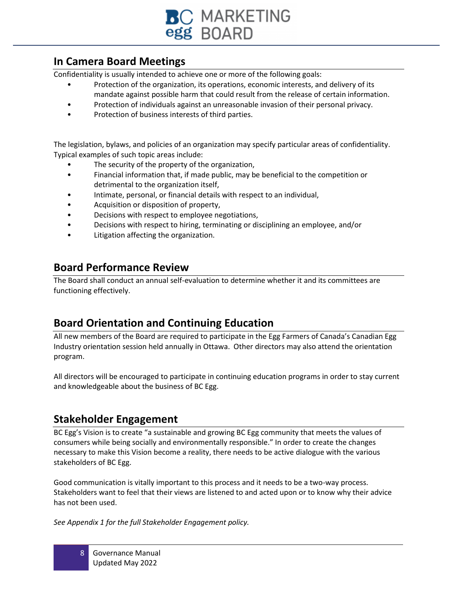

## **In Camera Board Meetings**

Confidentiality is usually intended to achieve one or more of the following goals:

- Protection of the organization, its operations, economic interests, and delivery of its mandate against possible harm that could result from the release of certain information.
- Protection of individuals against an unreasonable invasion of their personal privacy.
- Protection of business interests of third parties.

The legislation, bylaws, and policies of an organization may specify particular areas of confidentiality. Typical examples of such topic areas include:

- The security of the property of the organization,
- Financial information that, if made public, may be beneficial to the competition or detrimental to the organization itself,
- Intimate, personal, or financial details with respect to an individual,
- Acquisition or disposition of property,
- Decisions with respect to employee negotiations,
- Decisions with respect to hiring, terminating or disciplining an employee, and/or
- Litigation affecting the organization.

### **Board Performance Review**

The Board shall conduct an annual self-evaluation to determine whether it and its committees are functioning effectively.

## **Board Orientation and Continuing Education**

All new members of the Board are required to participate in the Egg Farmers of Canada's Canadian Egg Industry orientation session held annually in Ottawa. Other directors may also attend the orientation program.

All directors will be encouraged to participate in continuing education programs in order to stay current and knowledgeable about the business of BC Egg.

## **Stakeholder Engagement**

BC Egg's Vision is to create "a sustainable and growing BC Egg community that meets the values of consumers while being socially and environmentally responsible." In order to create the changes necessary to make this Vision become a reality, there needs to be active dialogue with the various stakeholders of BC Egg.

Good communication is vitally important to this process and it needs to be a two-way process. Stakeholders want to feel that their views are listened to and acted upon or to know why their advice has not been used.

*See Appendix 1 for the full Stakeholder Engagement policy.*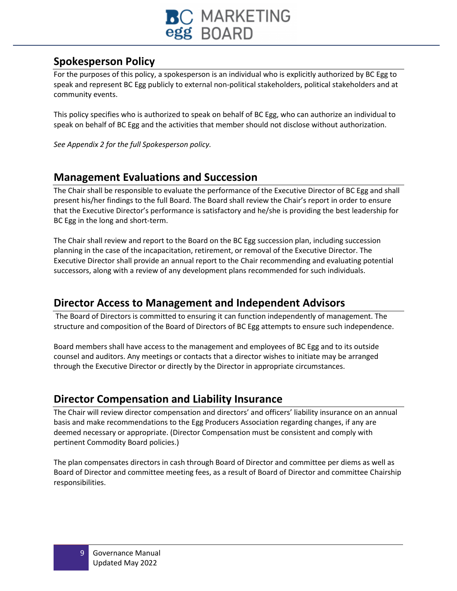

## **Spokesperson Policy**

For the purposes of this policy, a spokesperson is an individual who is explicitly authorized by BC Egg to speak and represent BC Egg publicly to external non-political stakeholders, political stakeholders and at community events.

This policy specifies who is authorized to speak on behalf of BC Egg, who can authorize an individual to speak on behalf of BC Egg and the activities that member should not disclose without authorization.

*See Appendix 2 for the full Spokesperson policy.* 

## **Management Evaluations and Succession**

The Chair shall be responsible to evaluate the performance of the Executive Director of BC Egg and shall present his/her findings to the full Board. The Board shall review the Chair's report in order to ensure that the Executive Director's performance is satisfactory and he/she is providing the best leadership for BC Egg in the long and short-term.

The Chair shall review and report to the Board on the BC Egg succession plan, including succession planning in the case of the incapacitation, retirement, or removal of the Executive Director. The Executive Director shall provide an annual report to the Chair recommending and evaluating potential successors, along with a review of any development plans recommended for such individuals.

## **Director Access to Management and Independent Advisors**

The Board of Directors is committed to ensuring it can function independently of management. The structure and composition of the Board of Directors of BC Egg attempts to ensure such independence.

Board members shall have access to the management and employees of BC Egg and to its outside counsel and auditors. Any meetings or contacts that a director wishes to initiate may be arranged through the Executive Director or directly by the Director in appropriate circumstances.

## **Director Compensation and Liability Insurance**

The Chair will review director compensation and directors' and officers' liability insurance on an annual basis and make recommendations to the Egg Producers Association regarding changes, if any are deemed necessary or appropriate. (Director Compensation must be consistent and comply with pertinent Commodity Board policies.)

The plan compensates directors in cash through Board of Director and committee per diems as well as Board of Director and committee meeting fees, as a result of Board of Director and committee Chairship responsibilities.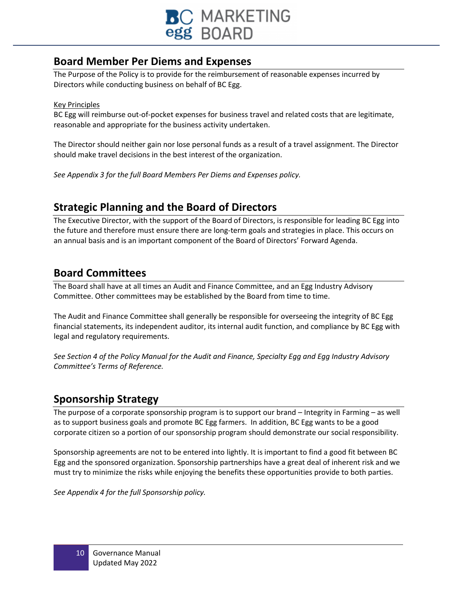

## **Board Member Per Diems and Expenses**

The Purpose of the Policy is to provide for the reimbursement of reasonable expenses incurred by Directors while conducting business on behalf of BC Egg.

#### Key Principles

BC Egg will reimburse out-of-pocket expenses for business travel and related costs that are legitimate, reasonable and appropriate for the business activity undertaken.

The Director should neither gain nor lose personal funds as a result of a travel assignment. The Director should make travel decisions in the best interest of the organization.

*See Appendix 3 for the full Board Members Per Diems and Expenses policy.*

## **Strategic Planning and the Board of Directors**

The Executive Director, with the support of the Board of Directors, is responsible for leading BC Egg into the future and therefore must ensure there are long-term goals and strategies in place. This occurs on an annual basis and is an important component of the Board of Directors' Forward Agenda.

## **Board Committees**

The Board shall have at all times an Audit and Finance Committee, and an Egg Industry Advisory Committee. Other committees may be established by the Board from time to time.

The Audit and Finance Committee shall generally be responsible for overseeing the integrity of BC Egg financial statements, its independent auditor, its internal audit function, and compliance by BC Egg with legal and regulatory requirements.

*See Section 4 of the Policy Manual for the Audit and Finance, Specialty Egg and Egg Industry Advisory Committee's Terms of Reference.*

## **Sponsorship Strategy**

The purpose of a corporate sponsorship program is to support our brand – Integrity in Farming – as well as to support business goals and promote BC Egg farmers. In addition, BC Egg wants to be a good corporate citizen so a portion of our sponsorship program should demonstrate our social responsibility.

Sponsorship agreements are not to be entered into lightly. It is important to find a good fit between BC Egg and the sponsored organization. Sponsorship partnerships have a great deal of inherent risk and we must try to minimize the risks while enjoying the benefits these opportunities provide to both parties.

*See Appendix 4 for the full Sponsorship policy.*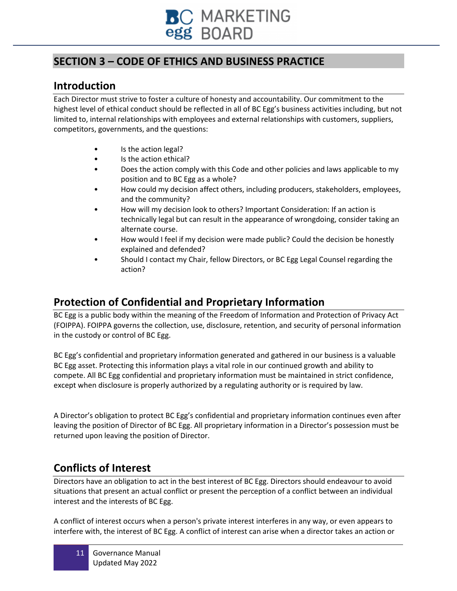

## **SECTION 3 – CODE OF ETHICS AND BUSINESS PRACTICE**

## **Introduction**

Each Director must strive to foster a culture of honesty and accountability. Our commitment to the highest level of ethical conduct should be reflected in all of BC Egg's business activities including, but not limited to, internal relationships with employees and external relationships with customers, suppliers, competitors, governments, and the questions:

- Is the action legal?
- Is the action ethical?
- Does the action comply with this Code and other policies and laws applicable to my position and to BC Egg as a whole?
- How could my decision affect others, including producers, stakeholders, employees, and the community?
- How will my decision look to others? Important Consideration: If an action is technically legal but can result in the appearance of wrongdoing, consider taking an alternate course.
- How would I feel if my decision were made public? Could the decision be honestly explained and defended?
- Should I contact my Chair, fellow Directors, or BC Egg Legal Counsel regarding the action?

## **Protection of Confidential and Proprietary Information**

BC Egg is a public body within the meaning of the Freedom of Information and Protection of Privacy Act (FOIPPA). FOIPPA governs the collection, use, disclosure, retention, and security of personal information in the custody or control of BC Egg.

BC Egg's confidential and proprietary information generated and gathered in our business is a valuable BC Egg asset. Protecting this information plays a vital role in our continued growth and ability to compete. All BC Egg confidential and proprietary information must be maintained in strict confidence, except when disclosure is properly authorized by a regulating authority or is required by law.

A Director's obligation to protect BC Egg's confidential and proprietary information continues even after leaving the position of Director of BC Egg. All proprietary information in a Director's possession must be returned upon leaving the position of Director.

## **Conflicts of Interest**

Directors have an obligation to act in the best interest of BC Egg. Directors should endeavour to avoid situations that present an actual conflict or present the perception of a conflict between an individual interest and the interests of BC Egg.

A conflict of interest occurs when a person's private interest interferes in any way, or even appears to interfere with, the interest of BC Egg. A conflict of interest can arise when a director takes an action or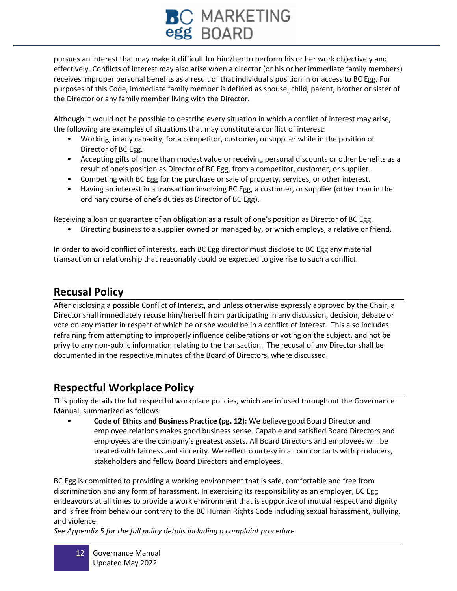# **BC MARKETING**<br>egg BOARD

pursues an interest that may make it difficult for him/her to perform his or her work objectively and effectively. Conflicts of interest may also arise when a director (or his or her immediate family members) receives improper personal benefits as a result of that individual's position in or access to BC Egg. For purposes of this Code, immediate family member is defined as spouse, child, parent, brother or sister of the Director or any family member living with the Director.

Although it would not be possible to describe every situation in which a conflict of interest may arise, the following are examples of situations that may constitute a conflict of interest:

- Working, in any capacity, for a competitor, customer, or supplier while in the position of Director of BC Egg.
- Accepting gifts of more than modest value or receiving personal discounts or other benefits as a result of one's position as Director of BC Egg, from a competitor, customer, or supplier.
- Competing with BC Egg for the purchase or sale of property, services, or other interest.
- Having an interest in a transaction involving BC Egg, a customer, or supplier (other than in the ordinary course of one's duties as Director of BC Egg).

Receiving a loan or guarantee of an obligation as a result of one's position as Director of BC Egg.

• Directing business to a supplier owned or managed by, or which employs, a relative or friend.

In order to avoid conflict of interests, each BC Egg director must disclose to BC Egg any material transaction or relationship that reasonably could be expected to give rise to such a conflict.

## **Recusal Policy**

After disclosing a possible Conflict of Interest, and unless otherwise expressly approved by the Chair, a Director shall immediately recuse him/herself from participating in any discussion, decision, debate or vote on any matter in respect of which he or she would be in a conflict of interest. This also includes refraining from attempting to improperly influence deliberations or voting on the subject, and not be privy to any non-public information relating to the transaction. The recusal of any Director shall be documented in the respective minutes of the Board of Directors, where discussed.

## **Respectful Workplace Policy**

This policy details the full respectful workplace policies, which are infused throughout the Governance Manual, summarized as follows:

• **Code of Ethics and Business Practice (pg. 12):** We believe good Board Director and employee relations makes good business sense. Capable and satisfied Board Directors and employees are the company's greatest assets. All Board Directors and employees will be treated with fairness and sincerity. We reflect courtesy in all our contacts with producers, stakeholders and fellow Board Directors and employees.

BC Egg is committed to providing a working environment that is safe, comfortable and free from discrimination and any form of harassment. In exercising its responsibility as an employer, BC Egg endeavours at all times to provide a work environment that is supportive of mutual respect and dignity and is free from behaviour contrary to the BC Human Rights Code including sexual harassment, bullying, and violence.

*See Appendix 5 for the full policy details including a complaint procedure.*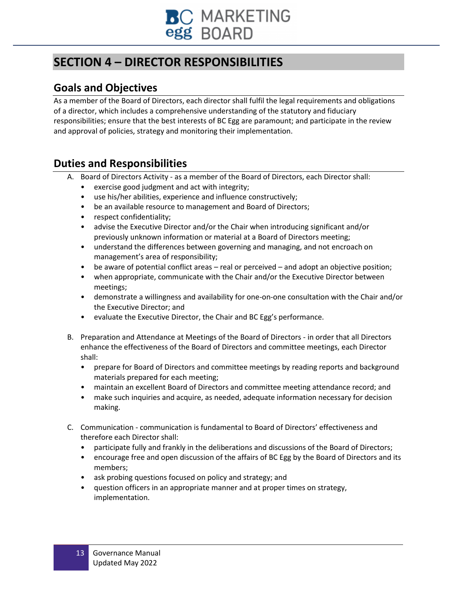

## **SECTION 4 – DIRECTOR RESPONSIBILITIES**

## **Goals and Objectives**

As a member of the Board of Directors, each director shall fulfil the legal requirements and obligations of a director, which includes a comprehensive understanding of the statutory and fiduciary responsibilities; ensure that the best interests of BC Egg are paramount; and participate in the review and approval of policies, strategy and monitoring their implementation.

## **Duties and Responsibilities**

- A. Board of Directors Activity as a member of the Board of Directors, each Director shall:
	- exercise good judgment and act with integrity;
	- use his/her abilities, experience and influence constructively;
	- be an available resource to management and Board of Directors;
	- respect confidentiality;
	- advise the Executive Director and/or the Chair when introducing significant and/or previously unknown information or material at a Board of Directors meeting;
	- understand the differences between governing and managing, and not encroach on management's area of responsibility;
	- be aware of potential conflict areas real or perceived and adopt an objective position;
	- when appropriate, communicate with the Chair and/or the Executive Director between meetings;
	- demonstrate a willingness and availability for one-on-one consultation with the Chair and/or the Executive Director; and
	- evaluate the Executive Director, the Chair and BC Egg's performance.
- B. Preparation and Attendance at Meetings of the Board of Directors in order that all Directors enhance the effectiveness of the Board of Directors and committee meetings, each Director shall:
	- prepare for Board of Directors and committee meetings by reading reports and background materials prepared for each meeting;
	- maintain an excellent Board of Directors and committee meeting attendance record; and
	- make such inquiries and acquire, as needed, adequate information necessary for decision making.
- C. Communication communication is fundamental to Board of Directors' effectiveness and therefore each Director shall:
	- participate fully and frankly in the deliberations and discussions of the Board of Directors;
	- encourage free and open discussion of the affairs of BC Egg by the Board of Directors and its members;
	- ask probing questions focused on policy and strategy; and
	- question officers in an appropriate manner and at proper times on strategy, implementation.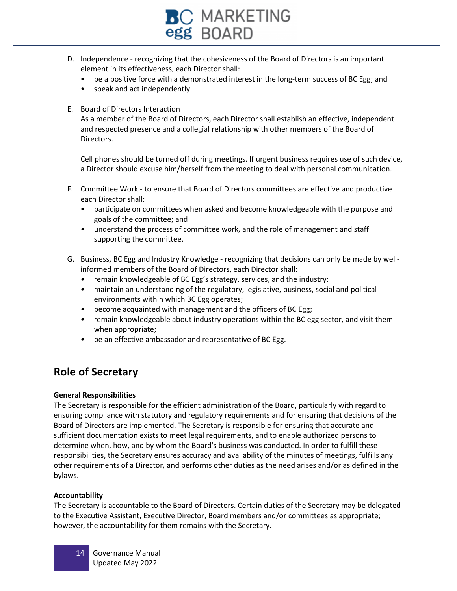

- D. Independence recognizing that the cohesiveness of the Board of Directors is an important element in its effectiveness, each Director shall:
	- be a positive force with a demonstrated interest in the long-term success of BC Egg; and
	- speak and act independently.
- E. Board of Directors Interaction

As a member of the Board of Directors, each Director shall establish an effective, independent and respected presence and a collegial relationship with other members of the Board of Directors.

Cell phones should be turned off during meetings. If urgent business requires use of such device, a Director should excuse him/herself from the meeting to deal with personal communication.

- F. Committee Work to ensure that Board of Directors committees are effective and productive each Director shall:
	- participate on committees when asked and become knowledgeable with the purpose and goals of the committee; and
	- understand the process of committee work, and the role of management and staff supporting the committee.
- G. Business, BC Egg and Industry Knowledge recognizing that decisions can only be made by wellinformed members of the Board of Directors, each Director shall:
	- remain knowledgeable of BC Egg's strategy, services, and the industry;
	- maintain an understanding of the regulatory, legislative, business, social and political environments within which BC Egg operates;
	- become acquainted with management and the officers of BC Egg;
	- remain knowledgeable about industry operations within the BC egg sector, and visit them when appropriate;
	- be an effective ambassador and representative of BC Egg.

## **Role of Secretary**

#### **General Responsibilities**

The Secretary is responsible for the efficient administration of the Board, particularly with regard to ensuring compliance with statutory and regulatory requirements and for ensuring that decisions of the Board of Directors are implemented. The Secretary is responsible for ensuring that accurate and sufficient documentation exists to meet legal requirements, and to enable authorized persons to determine when, how, and by whom the Board's business was conducted. In order to fulfill these responsibilities, the Secretary ensures accuracy and availability of the minutes of meetings, fulfills any other requirements of a Director, and performs other duties as the need arises and/or as defined in the bylaws.

#### **Accountability**

The Secretary is accountable to the Board of Directors. Certain duties of the Secretary may be delegated to the Executive Assistant, Executive Director, Board members and/or committees as appropriate; however, the accountability for them remains with the Secretary.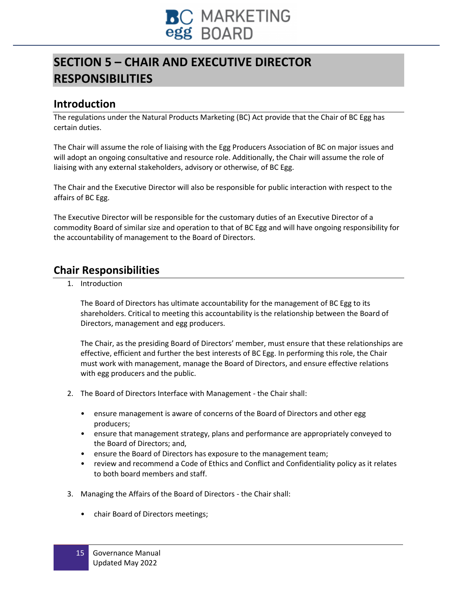

## **SECTION 5 – CHAIR AND EXECUTIVE DIRECTOR RESPONSIBILITIES**

## **Introduction**

The regulations under the Natural Products Marketing (BC) Act provide that the Chair of BC Egg has certain duties.

The Chair will assume the role of liaising with the Egg Producers Association of BC on major issues and will adopt an ongoing consultative and resource role. Additionally, the Chair will assume the role of liaising with any external stakeholders, advisory or otherwise, of BC Egg.

The Chair and the Executive Director will also be responsible for public interaction with respect to the affairs of BC Egg.

The Executive Director will be responsible for the customary duties of an Executive Director of a commodity Board of similar size and operation to that of BC Egg and will have ongoing responsibility for the accountability of management to the Board of Directors.

## **Chair Responsibilities**

1. Introduction

The Board of Directors has ultimate accountability for the management of BC Egg to its shareholders. Critical to meeting this accountability is the relationship between the Board of Directors, management and egg producers.

The Chair, as the presiding Board of Directors' member, must ensure that these relationships are effective, efficient and further the best interests of BC Egg. In performing this role, the Chair must work with management, manage the Board of Directors, and ensure effective relations with egg producers and the public.

- 2. The Board of Directors Interface with Management the Chair shall:
	- ensure management is aware of concerns of the Board of Directors and other egg producers;
	- ensure that management strategy, plans and performance are appropriately conveyed to the Board of Directors; and,
	- ensure the Board of Directors has exposure to the management team;
	- review and recommend a Code of Ethics and Conflict and Confidentiality policy as it relates to both board members and staff.
- 3. Managing the Affairs of the Board of Directors the Chair shall:
	- chair Board of Directors meetings;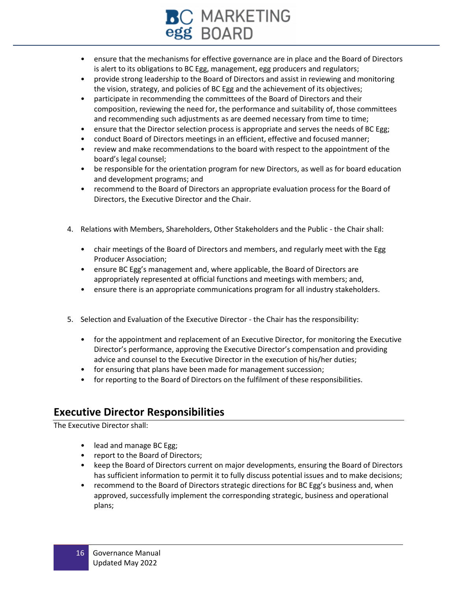## C MARKETING egg BOARD

- ensure that the mechanisms for effective governance are in place and the Board of Directors is alert to its obligations to BC Egg, management, egg producers and regulators;
- provide strong leadership to the Board of Directors and assist in reviewing and monitoring the vision, strategy, and policies of BC Egg and the achievement of its objectives;
- participate in recommending the committees of the Board of Directors and their composition, reviewing the need for, the performance and suitability of, those committees and recommending such adjustments as are deemed necessary from time to time;
- ensure that the Director selection process is appropriate and serves the needs of BC Egg;
- conduct Board of Directors meetings in an efficient, effective and focused manner;
- review and make recommendations to the board with respect to the appointment of the board's legal counsel;
- be responsible for the orientation program for new Directors, as well as for board education and development programs; and
- recommend to the Board of Directors an appropriate evaluation process for the Board of Directors, the Executive Director and the Chair.
- 4. Relations with Members, Shareholders, Other Stakeholders and the Public the Chair shall:
	- chair meetings of the Board of Directors and members, and regularly meet with the Egg Producer Association;
	- ensure BC Egg's management and, where applicable, the Board of Directors are appropriately represented at official functions and meetings with members; and,
	- ensure there is an appropriate communications program for all industry stakeholders.
- 5. Selection and Evaluation of the Executive Director the Chair has the responsibility:
	- for the appointment and replacement of an Executive Director, for monitoring the Executive Director's performance, approving the Executive Director's compensation and providing advice and counsel to the Executive Director in the execution of his/her duties;
	- for ensuring that plans have been made for management succession;
	- for reporting to the Board of Directors on the fulfilment of these responsibilities.

## **Executive Director Responsibilities**

The Executive Director shall:

- lead and manage BC Egg;
- report to the Board of Directors;
- keep the Board of Directors current on major developments, ensuring the Board of Directors has sufficient information to permit it to fully discuss potential issues and to make decisions;
- recommend to the Board of Directors strategic directions for BC Egg's business and, when approved, successfully implement the corresponding strategic, business and operational plans;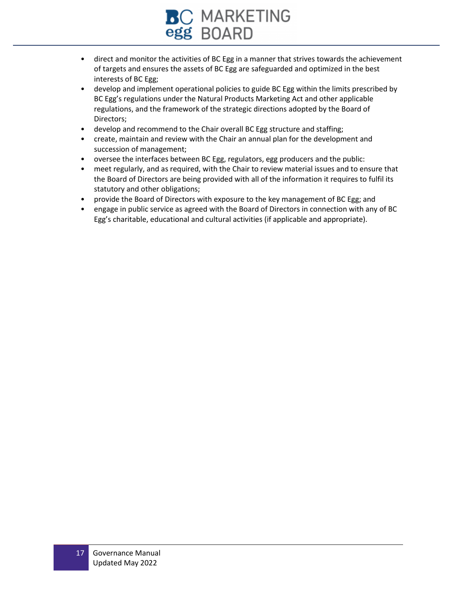

- direct and monitor the activities of BC Egg in a manner that strives towards the achievement of targets and ensures the assets of BC Egg are safeguarded and optimized in the best interests of BC Egg;
- develop and implement operational policies to guide BC Egg within the limits prescribed by BC Egg's regulations under the Natural Products Marketing Act and other applicable regulations, and the framework of the strategic directions adopted by the Board of Directors;
- develop and recommend to the Chair overall BC Egg structure and staffing;
- create, maintain and review with the Chair an annual plan for the development and succession of management;
- oversee the interfaces between BC Egg, regulators, egg producers and the public:
- meet regularly, and as required, with the Chair to review material issues and to ensure that the Board of Directors are being provided with all of the information it requires to fulfil its statutory and other obligations;
- provide the Board of Directors with exposure to the key management of BC Egg; and
- engage in public service as agreed with the Board of Directors in connection with any of BC Egg's charitable, educational and cultural activities (if applicable and appropriate).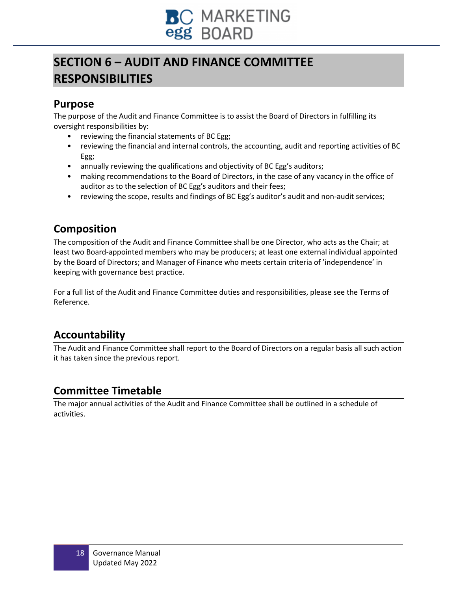

## **SECTION 6 – AUDIT AND FINANCE COMMITTEE RESPONSIBILITIES**

## **Purpose**

The purpose of the Audit and Finance Committee is to assist the Board of Directors in fulfilling its oversight responsibilities by:

- reviewing the financial statements of BC Egg;
- reviewing the financial and internal controls, the accounting, audit and reporting activities of BC Egg;
- annually reviewing the qualifications and objectivity of BC Egg's auditors;
- making recommendations to the Board of Directors, in the case of any vacancy in the office of auditor as to the selection of BC Egg's auditors and their fees;
- reviewing the scope, results and findings of BC Egg's auditor's audit and non-audit services;

## **Composition**

The composition of the Audit and Finance Committee shall be one Director, who acts as the Chair; at least two Board-appointed members who may be producers; at least one external individual appointed by the Board of Directors; and Manager of Finance who meets certain criteria of 'independence' in keeping with governance best practice.

For a full list of the Audit and Finance Committee duties and responsibilities, please see the Terms of Reference.

## **Accountability**

The Audit and Finance Committee shall report to the Board of Directors on a regular basis all such action it has taken since the previous report.

## **Committee Timetable**

The major annual activities of the Audit and Finance Committee shall be outlined in a schedule of activities.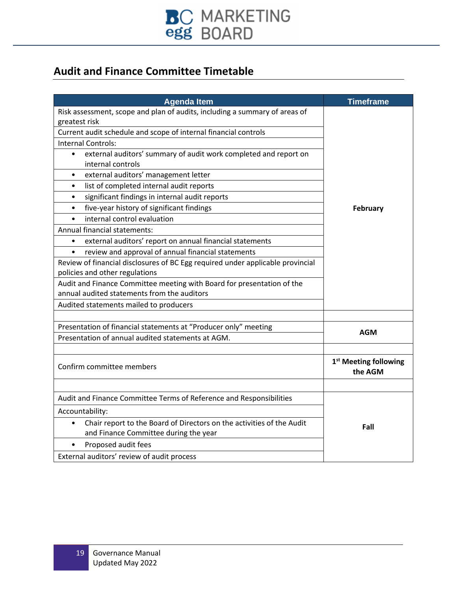

## **Audit and Finance Committee Timetable**

| <b>Agenda Item</b>                                                                                               | <b>Timeframe</b>                             |  |
|------------------------------------------------------------------------------------------------------------------|----------------------------------------------|--|
| Risk assessment, scope and plan of audits, including a summary of areas of                                       |                                              |  |
| greatest risk                                                                                                    |                                              |  |
| Current audit schedule and scope of internal financial controls                                                  |                                              |  |
| <b>Internal Controls:</b>                                                                                        |                                              |  |
| external auditors' summary of audit work completed and report on<br>$\bullet$<br>internal controls               |                                              |  |
| external auditors' management letter<br>$\bullet$                                                                |                                              |  |
| list of completed internal audit reports<br>$\bullet$                                                            |                                              |  |
| significant findings in internal audit reports<br>$\bullet$                                                      |                                              |  |
| five-year history of significant findings<br>$\bullet$                                                           | February                                     |  |
| internal control evaluation<br>$\bullet$                                                                         |                                              |  |
| Annual financial statements:                                                                                     |                                              |  |
| external auditors' report on annual financial statements<br>٠                                                    |                                              |  |
| review and approval of annual financial statements<br>$\bullet$                                                  |                                              |  |
| Review of financial disclosures of BC Egg required under applicable provincial<br>policies and other regulations |                                              |  |
| Audit and Finance Committee meeting with Board for presentation of the                                           |                                              |  |
| annual audited statements from the auditors                                                                      |                                              |  |
| Audited statements mailed to producers                                                                           |                                              |  |
| Presentation of financial statements at "Producer only" meeting                                                  |                                              |  |
| Presentation of annual audited statements at AGM.                                                                | AGM                                          |  |
|                                                                                                                  |                                              |  |
| Confirm committee members                                                                                        | 1 <sup>st</sup> Meeting following<br>the AGM |  |
|                                                                                                                  |                                              |  |
| Audit and Finance Committee Terms of Reference and Responsibilities                                              |                                              |  |
| Accountability:                                                                                                  |                                              |  |
| Chair report to the Board of Directors on the activities of the Audit                                            | Fall                                         |  |
| and Finance Committee during the year                                                                            |                                              |  |
| Proposed audit fees                                                                                              |                                              |  |
| External auditors' review of audit process                                                                       |                                              |  |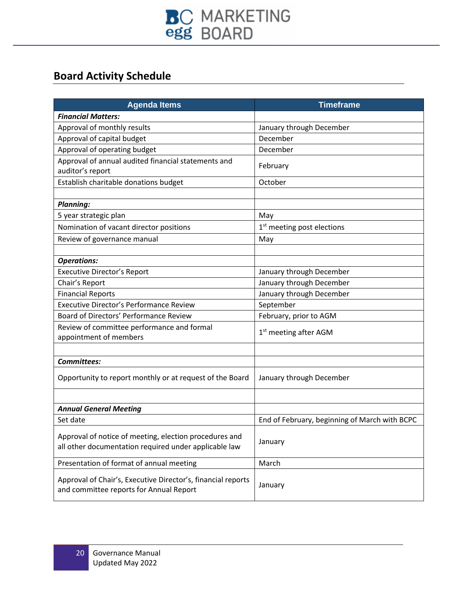

## **Board Activity Schedule**

| <b>Agenda Items</b>                                                                                             | <b>Timeframe</b>                              |
|-----------------------------------------------------------------------------------------------------------------|-----------------------------------------------|
| <b>Financial Matters:</b>                                                                                       |                                               |
| Approval of monthly results                                                                                     | January through December                      |
| Approval of capital budget                                                                                      | December                                      |
| Approval of operating budget                                                                                    | December                                      |
| Approval of annual audited financial statements and                                                             | February                                      |
| auditor's report                                                                                                |                                               |
| Establish charitable donations budget                                                                           | October                                       |
|                                                                                                                 |                                               |
| <b>Planning:</b>                                                                                                |                                               |
| 5 year strategic plan                                                                                           | May                                           |
| Nomination of vacant director positions                                                                         | 1 <sup>st</sup> meeting post elections        |
| Review of governance manual                                                                                     | May                                           |
|                                                                                                                 |                                               |
| <b>Operations:</b>                                                                                              |                                               |
| <b>Executive Director's Report</b>                                                                              | January through December                      |
| Chair's Report                                                                                                  | January through December                      |
| <b>Financial Reports</b>                                                                                        | January through December                      |
| <b>Executive Director's Performance Review</b>                                                                  | September                                     |
| Board of Directors' Performance Review                                                                          | February, prior to AGM                        |
| Review of committee performance and formal                                                                      | 1 <sup>st</sup> meeting after AGM             |
| appointment of members                                                                                          |                                               |
|                                                                                                                 |                                               |
| <b>Committees:</b>                                                                                              |                                               |
| Opportunity to report monthly or at request of the Board                                                        | January through December                      |
|                                                                                                                 |                                               |
|                                                                                                                 |                                               |
| <b>Annual General Meeting</b>                                                                                   |                                               |
| Set date                                                                                                        | End of February, beginning of March with BCPC |
|                                                                                                                 |                                               |
| Approval of notice of meeting, election procedures and<br>all other documentation required under applicable law | January                                       |
|                                                                                                                 |                                               |
| Presentation of format of annual meeting                                                                        | March                                         |
| Approval of Chair's, Executive Director's, financial reports                                                    |                                               |
| and committee reports for Annual Report                                                                         | January                                       |
|                                                                                                                 |                                               |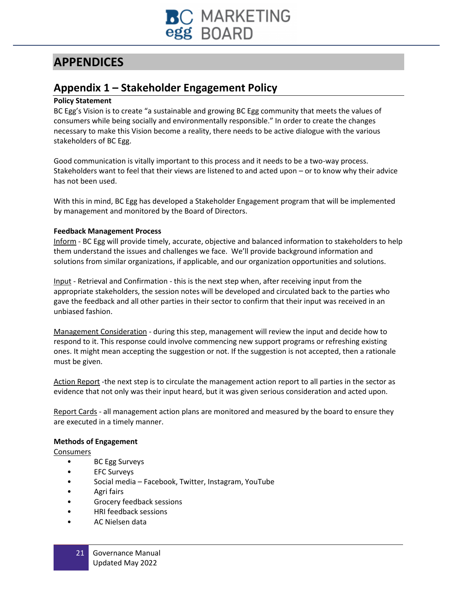

## **APPENDICES**

## **Appendix 1 – Stakeholder Engagement Policy**

#### **Policy Statement**

BC Egg's Vision is to create "a sustainable and growing BC Egg community that meets the values of consumers while being socially and environmentally responsible." In order to create the changes necessary to make this Vision become a reality, there needs to be active dialogue with the various stakeholders of BC Egg.

Good communication is vitally important to this process and it needs to be a two-way process. Stakeholders want to feel that their views are listened to and acted upon – or to know why their advice has not been used.

With this in mind, BC Egg has developed a Stakeholder Engagement program that will be implemented by management and monitored by the Board of Directors.

#### **Feedback Management Process**

Inform - BC Egg will provide timely, accurate, objective and balanced information to stakeholders to help them understand the issues and challenges we face. We'll provide background information and solutions from similar organizations, if applicable, and our organization opportunities and solutions.

Input - Retrieval and Confirmation - this is the next step when, after receiving input from the appropriate stakeholders, the session notes will be developed and circulated back to the parties who gave the feedback and all other parties in their sector to confirm that their input was received in an unbiased fashion.

Management Consideration - during this step, management will review the input and decide how to respond to it. This response could involve commencing new support programs or refreshing existing ones. It might mean accepting the suggestion or not. If the suggestion is not accepted, then a rationale must be given.

Action Report -the next step is to circulate the management action report to all parties in the sector as evidence that not only was their input heard, but it was given serious consideration and acted upon.

Report Cards - all management action plans are monitored and measured by the board to ensure they are executed in a timely manner.

#### **Methods of Engagement**

**Consumers** 

- BC Egg Surveys
- EFC Surveys
- Social media Facebook, Twitter, Instagram, YouTube
- Agri fairs
- Grocery feedback sessions
- HRI feedback sessions
- AC Nielsen data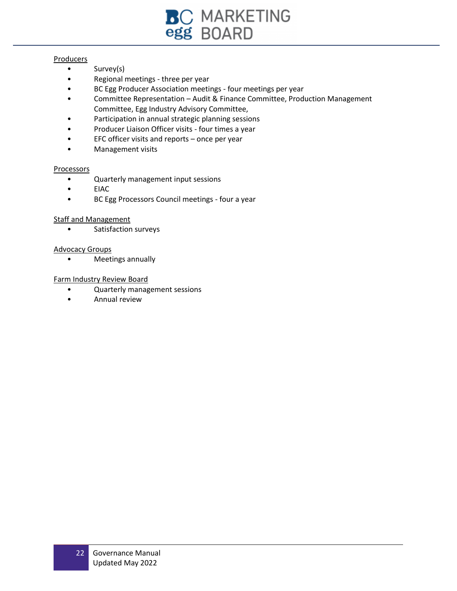

#### **Producers**

- Survey(s)
- Regional meetings three per year
- BC Egg Producer Association meetings four meetings per year
- Committee Representation Audit & Finance Committee, Production Management Committee, Egg Industry Advisory Committee,
- Participation in annual strategic planning sessions
- Producer Liaison Officer visits four times a year
- $EFC$  officer visits and reports once per year
- Management visits

#### Processors

- Quarterly management input sessions
- EIAC
- BC Egg Processors Council meetings four a year

#### Staff and Management

• Satisfaction surveys

#### Advocacy Groups

• Meetings annually

#### Farm Industry Review Board

- Quarterly management sessions
- Annual review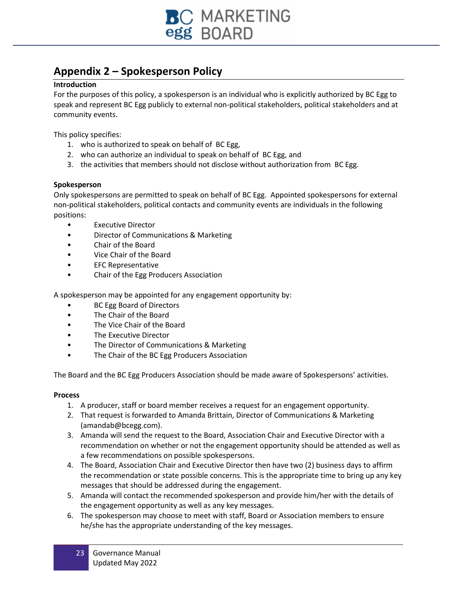

## **Appendix 2 – Spokesperson Policy**

#### **Introduction**

For the purposes of this policy, a spokesperson is an individual who is explicitly authorized by BC Egg to speak and represent BC Egg publicly to external non-political stakeholders, political stakeholders and at community events.

This policy specifies:

- 1. who is authorized to speak on behalf of BC Egg,
- 2. who can authorize an individual to speak on behalf of BC Egg, and
- 3. the activities that members should not disclose without authorization from BC Egg.

#### **Spokesperson**

Only spokespersons are permitted to speak on behalf of BC Egg. Appointed spokespersons for external non-political stakeholders, political contacts and community events are individuals in the following positions:

- **Executive Director**
- Director of Communications & Marketing
- Chair of the Board
- Vice Chair of the Board
- EFC Representative
- Chair of the Egg Producers Association

A spokesperson may be appointed for any engagement opportunity by:

- BC Egg Board of Directors
- The Chair of the Board
- The Vice Chair of the Board
- The Executive Director
- The Director of Communications & Marketing
- The Chair of the BC Egg Producers Association

The Board and the BC Egg Producers Association should be made aware of Spokespersons' activities.

#### **Process**

- 1. A producer, staff or board member receives a request for an engagement opportunity.
- 2. That request is forwarded to Amanda Brittain, Director of Communications & Marketing (amandab@bcegg.com).
- 3. Amanda will send the request to the Board, Association Chair and Executive Director with a recommendation on whether or not the engagement opportunity should be attended as well as a few recommendations on possible spokespersons.
- 4. The Board, Association Chair and Executive Director then have two (2) business days to affirm the recommendation or state possible concerns. This is the appropriate time to bring up any key messages that should be addressed during the engagement.
- 5. Amanda will contact the recommended spokesperson and provide him/her with the details of the engagement opportunity as well as any key messages.
- 6. The spokesperson may choose to meet with staff, Board or Association members to ensure he/she has the appropriate understanding of the key messages.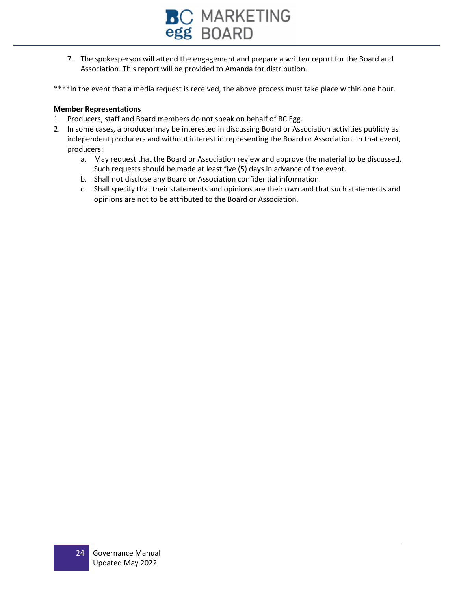

- 7. The spokesperson will attend the engagement and prepare a written report for the Board and Association. This report will be provided to Amanda for distribution.
- \*\*\*\*In the event that a media request is received, the above process must take place within one hour.

#### **Member Representations**

- 1. Producers, staff and Board members do not speak on behalf of BC Egg.
- 2. In some cases, a producer may be interested in discussing Board or Association activities publicly as independent producers and without interest in representing the Board or Association. In that event, producers:
	- a. May request that the Board or Association review and approve the material to be discussed. Such requests should be made at least five (5) days in advance of the event.
	- b. Shall not disclose any Board or Association confidential information.
	- c. Shall specify that their statements and opinions are their own and that such statements and opinions are not to be attributed to the Board or Association.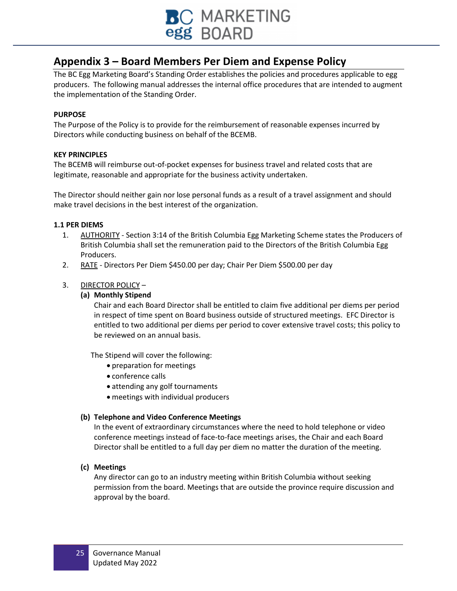

## **Appendix 3 – Board Members Per Diem and Expense Policy**

The BC Egg Marketing Board's Standing Order establishes the policies and procedures applicable to egg producers. The following manual addresses the internal office procedures that are intended to augment the implementation of the Standing Order.

#### **PURPOSE**

The Purpose of the Policy is to provide for the reimbursement of reasonable expenses incurred by Directors while conducting business on behalf of the BCEMB.

#### **KEY PRINCIPLES**

The BCEMB will reimburse out-of-pocket expenses for business travel and related costs that are legitimate, reasonable and appropriate for the business activity undertaken.

The Director should neither gain nor lose personal funds as a result of a travel assignment and should make travel decisions in the best interest of the organization.

#### **1.1 PER DIEMS**

- 1. AUTHORITY Section 3:14 of the British Columbia Egg Marketing Scheme states the Producers of British Columbia shall set the remuneration paid to the Directors of the British Columbia Egg Producers.
- 2. RATE Directors Per Diem \$450.00 per day; Chair Per Diem \$500.00 per day

#### 3. DIRECTOR POLICY -

#### **(a) Monthly Stipend**

Chair and each Board Director shall be entitled to claim five additional per diems per period in respect of time spent on Board business outside of structured meetings. EFC Director is entitled to two additional per diems per period to cover extensive travel costs; this policy to be reviewed on an annual basis.

The Stipend will cover the following:

- preparation for meetings
- conference calls
- attending any golf tournaments
- meetings with individual producers

#### **(b) Telephone and Video Conference Meetings**

In the event of extraordinary circumstances where the need to hold telephone or video conference meetings instead of face-to-face meetings arises, the Chair and each Board Director shall be entitled to a full day per diem no matter the duration of the meeting.

#### **(c) Meetings**

Any director can go to an industry meeting within British Columbia without seeking permission from the board. Meetings that are outside the province require discussion and approval by the board.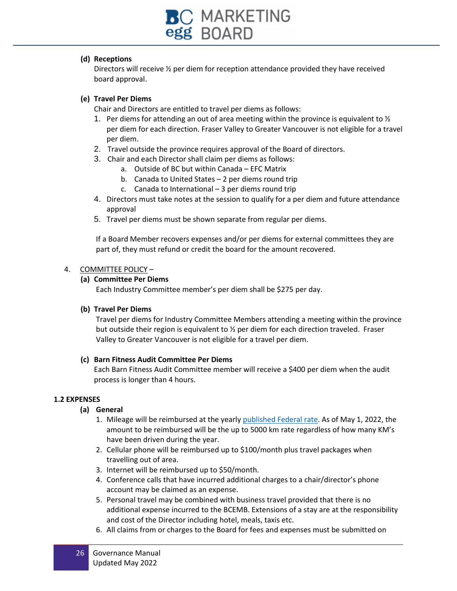![](_page_25_Picture_0.jpeg)

#### **(d) Receptions**

Directors will receive ½ per diem for reception attendance provided they have received board approval.

#### **(e) Travel Per Diems**

Chair and Directors are entitled to travel per diems as follows:

- 1. Per diems for attending an out of area meeting within the province is equivalent to  $\frac{1}{2}$ per diem for each direction. Fraser Valley to Greater Vancouver is not eligible for a travel per diem.
- 2. Travel outside the province requires approval of the Board of directors.
- 3. Chair and each Director shall claim per diems as follows:
	- a. Outside of BC but within Canada EFC Matrix
	- b. Canada to United States 2 per diems round trip
	- c. Canada to International 3 per diems round trip
- 4. Directors must take notes at the session to qualify for a per diem and future attendance approval
- 5. Travel per diems must be shown separate from regular per diems.

If a Board Member recovers expenses and/or per diems for external committees they are part of, they must refund or credit the board for the amount recovered.

#### 4. COMMITTEE POLICY –

#### **(a) Committee Per Diems**

Each Industry Committee member's per diem shall be \$275 per day.

#### **(b) Travel Per Diems**

Travel per diems for Industry Committee Members attending a meeting within the province but outside their region is equivalent to  $\frac{1}{2}$  per diem for each direction traveled. Fraser Valley to Greater Vancouver is not eligible for a travel per diem.

#### **(c) Barn Fitness Audit Committee Per Diems**

Each Barn Fitness Audit Committee member will receive a \$400 per diem when the audit process is longer than 4 hours.

#### **1.2 EXPENSES**

#### **(a) General**

- 1. Mileage will be reimbursed at the yearl[y published Federal rate.](https://www.canada.ca/en/revenue-agency/services/tax/businesses/topics/payroll/benefits-allowances/automobile/automobile-motor-vehicle-allowances/automobile-allowance-rates.html) As of May 1, 2022, the amount to be reimbursed will be the up to 5000 km rate regardless of how many KM's have been driven during the year.
- 2. Cellular phone will be reimbursed up to \$100/month plus travel packages when travelling out of area.
- 3. Internet will be reimbursed up to \$50/month.
- 4. Conference calls that have incurred additional charges to a chair/director's phone account may be claimed as an expense.
- 5. Personal travel may be combined with business travel provided that there is no additional expense incurred to the BCEMB. Extensions of a stay are at the responsibility and cost of the Director including hotel, meals, taxis etc.
- 6. All claims from or charges to the Board for fees and expenses must be submitted on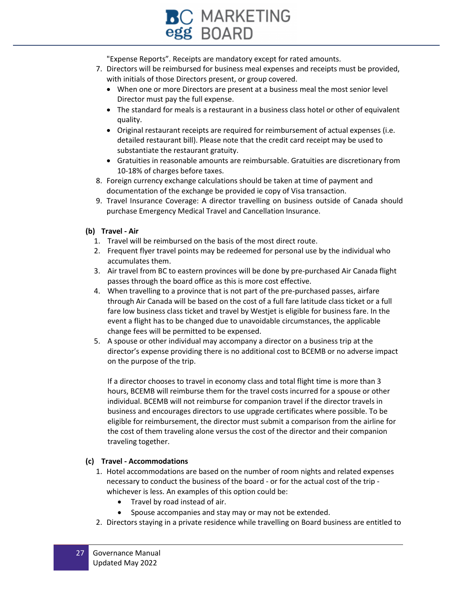![](_page_26_Picture_0.jpeg)

"Expense Reports". Receipts are mandatory except for rated amounts.

- 7. Directors will be reimbursed for business meal expenses and receipts must be provided, with initials of those Directors present, or group covered.
	- When one or more Directors are present at a business meal the most senior level Director must pay the full expense.
	- The standard for meals is a restaurant in a business class hotel or other of equivalent quality.
	- Original restaurant receipts are required for reimbursement of actual expenses (i.e. detailed restaurant bill). Please note that the credit card receipt may be used to substantiate the restaurant gratuity.
	- Gratuities in reasonable amounts are reimbursable. Gratuities are discretionary from 10-18% of charges before taxes.
- 8. Foreign currency exchange calculations should be taken at time of payment and documentation of the exchange be provided ie copy of Visa transaction.
- 9. Travel Insurance Coverage: A director travelling on business outside of Canada should purchase Emergency Medical Travel and Cancellation Insurance.

#### **(b) Travel - Air**

- 1. Travel will be reimbursed on the basis of the most direct route.
- 2. Frequent flyer travel points may be redeemed for personal use by the individual who accumulates them.
- 3. Air travel from BC to eastern provinces will be done by pre-purchased Air Canada flight passes through the board office as this is more cost effective.
- 4. When travelling to a province that is not part of the pre-purchased passes, airfare through Air Canada will be based on the cost of a full fare latitude class ticket or a full fare low business class ticket and travel by Westjet is eligible for business fare. In the event a flight has to be changed due to unavoidable circumstances, the applicable change fees will be permitted to be expensed.
- 5. A spouse or other individual may accompany a director on a business trip at the director's expense providing there is no additional cost to BCEMB or no adverse impact on the purpose of the trip.

If a director chooses to travel in economy class and total flight time is more than 3 hours, BCEMB will reimburse them for the travel costs incurred for a spouse or other individual. BCEMB will not reimburse for companion travel if the director travels in business and encourages directors to use upgrade certificates where possible. To be eligible for reimbursement, the director must submit a comparison from the airline for the cost of them traveling alone versus the cost of the director and their companion traveling together.

#### **(c) Travel - Accommodations**

- 1. Hotel accommodations are based on the number of room nights and related expenses necessary to conduct the business of the board - or for the actual cost of the trip whichever is less. An examples of this option could be:
	- Travel by road instead of air.
	- Spouse accompanies and stay may or may not be extended.
- 2. Directors staying in a private residence while travelling on Board business are entitled to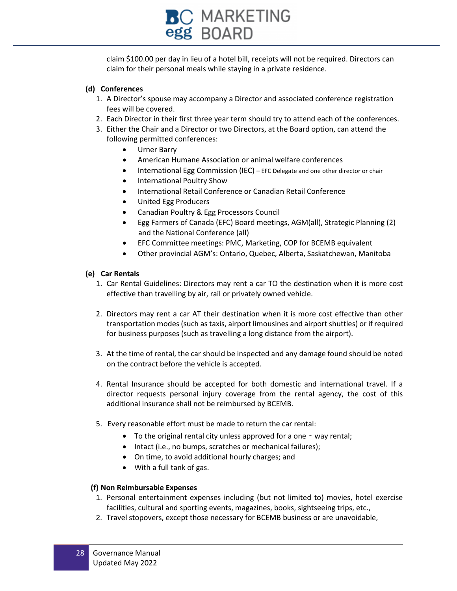![](_page_27_Picture_0.jpeg)

claim \$100.00 per day in lieu of a hotel bill, receipts will not be required. Directors can claim for their personal meals while staying in a private residence.

#### **(d) Conferences**

- 1. A Director's spouse may accompany a Director and associated conference registration fees will be covered.
- 2. Each Director in their first three year term should try to attend each of the conferences.
- 3. Either the Chair and a Director or two Directors, at the Board option, can attend the following permitted conferences:
	- Urner Barry
	- American Humane Association or animal welfare conferences
	- International Egg Commission (IEC) EFC Delegate and one other director or chair
	- International Poultry Show
	- International Retail Conference or Canadian Retail Conference
	- United Egg Producers
	- Canadian Poultry & Egg Processors Council
	- Egg Farmers of Canada (EFC) Board meetings, AGM(all), Strategic Planning (2) and the National Conference (all)
	- EFC Committee meetings: PMC, Marketing, COP for BCEMB equivalent
	- Other provincial AGM's: Ontario, Quebec, Alberta, Saskatchewan, Manitoba

#### **(e) Car Rentals**

- 1. Car Rental Guidelines: Directors may rent a car TO the destination when it is more cost effective than travelling by air, rail or privately owned vehicle.
- 2. Directors may rent a car AT their destination when it is more cost effective than other transportation modes (such as taxis, airport limousines and airport shuttles) or if required for business purposes (such as travelling a long distance from the airport).
- 3. At the time of rental, the car should be inspected and any damage found should be noted on the contract before the vehicle is accepted.
- 4. Rental Insurance should be accepted for both domestic and international travel. If a director requests personal injury coverage from the rental agency, the cost of this additional insurance shall not be reimbursed by BCEMB.
- 5. Every reasonable effort must be made to return the car rental:
	- To the original rental city unless approved for a one way rental;
	- Intact (i.e., no bumps, scratches or mechanical failures);
	- On time, to avoid additional hourly charges; and
	- With a full tank of gas.

#### **(f) Non Reimbursable Expenses**

- 1. Personal entertainment expenses including (but not limited to) movies, hotel exercise facilities, cultural and sporting events, magazines, books, sightseeing trips, etc.,
- 2. Travel stopovers, except those necessary for BCEMB business or are unavoidable,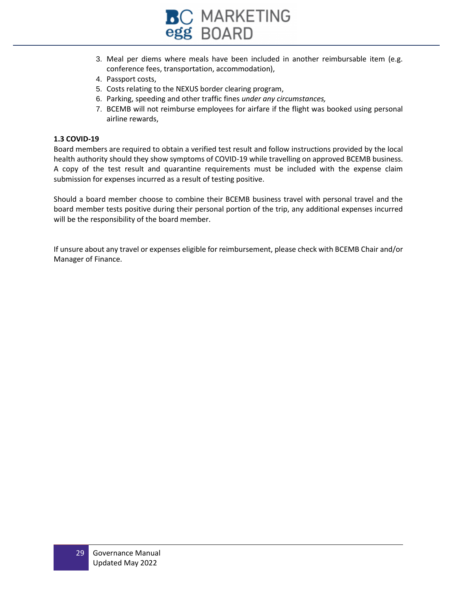![](_page_28_Picture_0.jpeg)

- 3. Meal per diems where meals have been included in another reimbursable item (e.g. conference fees, transportation, accommodation),
- 4. Passport costs,
- 5. Costs relating to the NEXUS border clearing program,
- 6. Parking, speeding and other traffic fines *under any circumstances,*
- 7. BCEMB will not reimburse employees for airfare if the flight was booked using personal airline rewards,

#### **1.3 COVID-19**

Board members are required to obtain a verified test result and follow instructions provided by the local health authority should they show symptoms of COVID-19 while travelling on approved BCEMB business. A copy of the test result and quarantine requirements must be included with the expense claim submission for expenses incurred as a result of testing positive.

Should a board member choose to combine their BCEMB business travel with personal travel and the board member tests positive during their personal portion of the trip, any additional expenses incurred will be the responsibility of the board member.

If unsure about any travel or expenses eligible for reimbursement, please check with BCEMB Chair and/or Manager of Finance.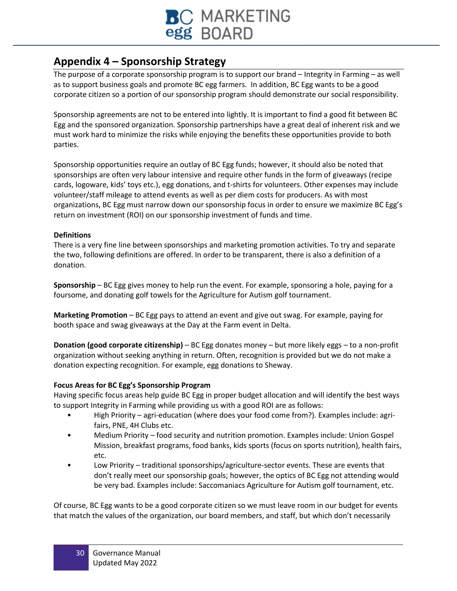![](_page_29_Picture_0.jpeg)

## **Appendix 4 – Sponsorship Strategy**

The purpose of a corporate sponsorship program is to support our brand – Integrity in Farming – as well as to support business goals and promote BC egg farmers. In addition, BC Egg wants to be a good corporate citizen so a portion of our sponsorship program should demonstrate our social responsibility.

Sponsorship agreements are not to be entered into lightly. It is important to find a good fit between BC Egg and the sponsored organization. Sponsorship partnerships have a great deal of inherent risk and we must work hard to minimize the risks while enjoying the benefits these opportunities provide to both parties.

Sponsorship opportunities require an outlay of BC Egg funds; however, it should also be noted that sponsorships are often very labour intensive and require other funds in the form of giveaways (recipe cards, logoware, kids' toys etc.), egg donations, and t-shirts for volunteers. Other expenses may include volunteer/staff mileage to attend events as well as per diem costs for producers. As with most organizations, BC Egg must narrow down our sponsorship focus in order to ensure we maximize BC Egg's return on investment (ROI) on our sponsorship investment of funds and time.

#### **Definitions**

There is a very fine line between sponsorships and marketing promotion activities. To try and separate the two, following definitions are offered. In order to be transparent, there is also a definition of a donation.

**Sponsorship** – BC Egg gives money to help run the event. For example, sponsoring a hole, paying for a foursome, and donating golf towels for the Agriculture for Autism golf tournament.

**Marketing Promotion** – BC Egg pays to attend an event and give out swag. For example, paying for booth space and swag giveaways at the Day at the Farm event in Delta.

**Donation (good corporate citizenship)** – BC Egg donates money – but more likely eggs – to a non-profit organization without seeking anything in return. Often, recognition is provided but we do not make a donation expecting recognition. For example, egg donations to Sheway.

#### **Focus Areas for BC Egg's Sponsorship Program**

Having specific focus areas help guide BC Egg in proper budget allocation and will identify the best ways to support Integrity in Farming while providing us with a good ROI are as follows:

- High Priority agri-education (where does your food come from?). Examples include: agrifairs, PNE, 4H Clubs etc.
- Medium Priority food security and nutrition promotion. Examples include: Union Gospel Mission, breakfast programs, food banks, kids sports (focus on sports nutrition), health fairs, etc.
- Low Priority traditional sponsorships/agriculture-sector events. These are events that don't really meet our sponsorship goals; however, the optics of BC Egg not attending would be very bad. Examples include: Saccomaniacs Agriculture for Autism golf tournament, etc.

Of course, BC Egg wants to be a good corporate citizen so we must leave room in our budget for events that match the values of the organization, our board members, and staff, but which don't necessarily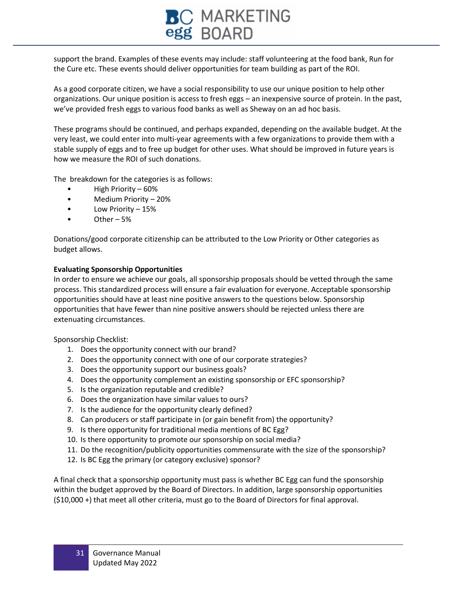## C MARKETING egg BOARD

support the brand. Examples of these events may include: staff volunteering at the food bank, Run for the Cure etc. These events should deliver opportunities for team building as part of the ROI.

As a good corporate citizen, we have a social responsibility to use our unique position to help other organizations. Our unique position is access to fresh eggs – an inexpensive source of protein. In the past, we've provided fresh eggs to various food banks as well as Sheway on an ad hoc basis.

These programs should be continued, and perhaps expanded, depending on the available budget. At the very least, we could enter into multi-year agreements with a few organizations to provide them with a stable supply of eggs and to free up budget for other uses. What should be improved in future years is how we measure the ROI of such donations.

The breakdown for the categories is as follows:

- High Priority 60%
- Medium Priority 20%
- Low Priority 15%
- Other  $-5%$

Donations/good corporate citizenship can be attributed to the Low Priority or Other categories as budget allows.

#### **Evaluating Sponsorship Opportunities**

In order to ensure we achieve our goals, all sponsorship proposals should be vetted through the same process. This standardized process will ensure a fair evaluation for everyone. Acceptable sponsorship opportunities should have at least nine positive answers to the questions below. Sponsorship opportunities that have fewer than nine positive answers should be rejected unless there are extenuating circumstances.

Sponsorship Checklist:

- 1. Does the opportunity connect with our brand?
- 2. Does the opportunity connect with one of our corporate strategies?
- 3. Does the opportunity support our business goals?
- 4. Does the opportunity complement an existing sponsorship or EFC sponsorship?
- 5. Is the organization reputable and credible?
- 6. Does the organization have similar values to ours?
- 7. Is the audience for the opportunity clearly defined?
- 8. Can producers or staff participate in (or gain benefit from) the opportunity?
- 9. Is there opportunity for traditional media mentions of BC Egg?
- 10. Is there opportunity to promote our sponsorship on social media?
- 11. Do the recognition/publicity opportunities commensurate with the size of the sponsorship?
- 12. Is BC Egg the primary (or category exclusive) sponsor?

A final check that a sponsorship opportunity must pass is whether BC Egg can fund the sponsorship within the budget approved by the Board of Directors. In addition, large sponsorship opportunities (\$10,000 +) that meet all other criteria, must go to the Board of Directors for final approval.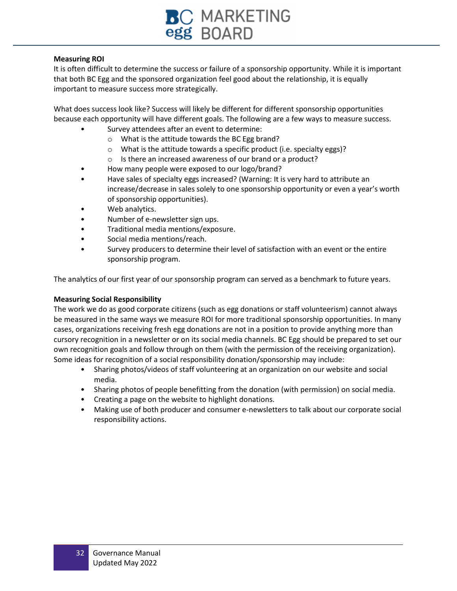![](_page_31_Picture_0.jpeg)

#### **Measuring ROI**

It is often difficult to determine the success or failure of a sponsorship opportunity. While it is important that both BC Egg and the sponsored organization feel good about the relationship, it is equally important to measure success more strategically.

What does success look like? Success will likely be different for different sponsorship opportunities because each opportunity will have different goals. The following are a few ways to measure success.

- Survey attendees after an event to determine:
	- o What is the attitude towards the BC Egg brand?
	- o What is the attitude towards a specific product (i.e. specialty eggs)?
	- o Is there an increased awareness of our brand or a product?
- How many people were exposed to our logo/brand?
- Have sales of specialty eggs increased? (Warning: It is very hard to attribute an increase/decrease in sales solely to one sponsorship opportunity or even a year's worth of sponsorship opportunities).
- Web analytics.
- Number of e-newsletter sign ups.
- Traditional media mentions/exposure.
- Social media mentions/reach.
- Survey producers to determine their level of satisfaction with an event or the entire sponsorship program.

The analytics of our first year of our sponsorship program can served as a benchmark to future years.

#### **Measuring Social Responsibility**

The work we do as good corporate citizens (such as egg donations or staff volunteerism) cannot always be measured in the same ways we measure ROI for more traditional sponsorship opportunities. In many cases, organizations receiving fresh egg donations are not in a position to provide anything more than cursory recognition in a newsletter or on its social media channels. BC Egg should be prepared to set our own recognition goals and follow through on them (with the permission of the receiving organization). Some ideas for recognition of a social responsibility donation/sponsorship may include:

- Sharing photos/videos of staff volunteering at an organization on our website and social media.
- Sharing photos of people benefitting from the donation (with permission) on social media.
- Creating a page on the website to highlight donations.
- Making use of both producer and consumer e-newsletters to talk about our corporate social responsibility actions.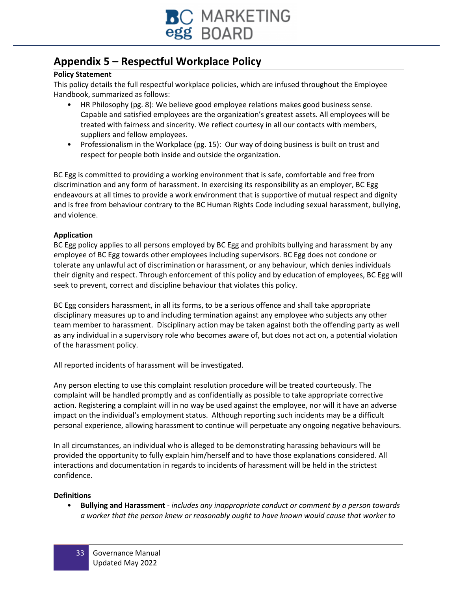![](_page_32_Picture_0.jpeg)

## **Appendix 5 – Respectful Workplace Policy**

#### **Policy Statement**

This policy details the full respectful workplace policies, which are infused throughout the Employee Handbook, summarized as follows:

- HR Philosophy (pg. 8): We believe good employee relations makes good business sense. Capable and satisfied employees are the organization's greatest assets. All employees will be treated with fairness and sincerity. We reflect courtesy in all our contacts with members, suppliers and fellow employees.
- Professionalism in the Workplace (pg. 15): Our way of doing business is built on trust and respect for people both inside and outside the organization.

BC Egg is committed to providing a working environment that is safe, comfortable and free from discrimination and any form of harassment. In exercising its responsibility as an employer, BC Egg endeavours at all times to provide a work environment that is supportive of mutual respect and dignity and is free from behaviour contrary to the BC Human Rights Code including sexual harassment, bullying, and violence.

#### **Application**

BC Egg policy applies to all persons employed by BC Egg and prohibits bullying and harassment by any employee of BC Egg towards other employees including supervisors. BC Egg does not condone or tolerate any unlawful act of discrimination or harassment, or any behaviour, which denies individuals their dignity and respect. Through enforcement of this policy and by education of employees, BC Egg will seek to prevent, correct and discipline behaviour that violates this policy.

BC Egg considers harassment, in all its forms, to be a serious offence and shall take appropriate disciplinary measures up to and including termination against any employee who subjects any other team member to harassment. Disciplinary action may be taken against both the offending party as well as any individual in a supervisory role who becomes aware of, but does not act on, a potential violation of the harassment policy.

All reported incidents of harassment will be investigated.

Any person electing to use this complaint resolution procedure will be treated courteously. The complaint will be handled promptly and as confidentially as possible to take appropriate corrective action. Registering a complaint will in no way be used against the employee, nor will it have an adverse impact on the individual's employment status. Although reporting such incidents may be a difficult personal experience, allowing harassment to continue will perpetuate any ongoing negative behaviours.

In all circumstances, an individual who is alleged to be demonstrating harassing behaviours will be provided the opportunity to fully explain him/herself and to have those explanations considered. All interactions and documentation in regards to incidents of harassment will be held in the strictest confidence.

#### **Definitions**

• **Bullying and Harassment** - *includes any inappropriate conduct or comment by a person towards a worker that the person knew or reasonably ought to have known would cause that worker to*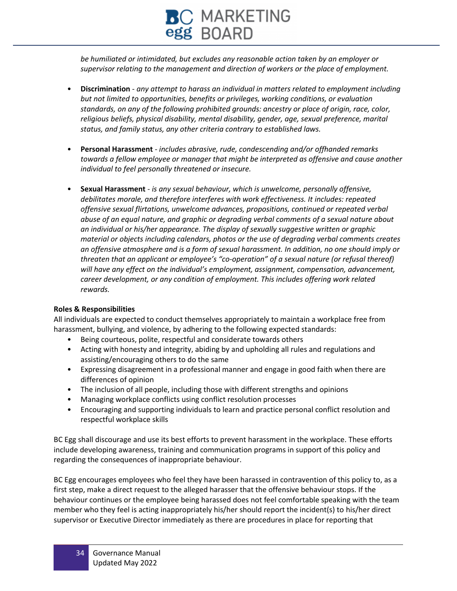# **BC** MARKETING<br>egg BOARD

*be humiliated or intimidated, but excludes any reasonable action taken by an employer or supervisor relating to the management and direction of workers or the place of employment.*

- **Discrimination** *any attempt to harass an individual in matters related to employment including but not limited to opportunities, benefits or privileges, working conditions, or evaluation standards, on any of the following prohibited grounds: ancestry or place of origin, race, color, religious beliefs, physical disability, mental disability, gender, age, sexual preference, marital status, and family status, any other criteria contrary to established laws.*
- **Personal Harassment** *includes abrasive, rude, condescending and/or offhanded remarks towards a fellow employee or manager that might be interpreted as offensive and cause another individual to feel personally threatened or insecure.*
- **Sexual Harassment** *is any sexual behaviour, which is unwelcome, personally offensive, debilitates morale, and therefore interferes with work effectiveness. It includes: repeated offensive sexual flirtations, unwelcome advances, propositions, continued or repeated verbal abuse of an equal nature, and graphic or degrading verbal comments of a sexual nature about an individual or his/her appearance. The display of sexually suggestive written or graphic material or objects including calendars, photos or the use of degrading verbal comments creates an offensive atmosphere and is a form of sexual harassment. In addition, no one should imply or threaten that an applicant or employee's "co-operation" of a sexual nature (or refusal thereof) will have any effect on the individual's employment, assignment, compensation, advancement, career development, or any condition of employment. This includes offering work related rewards.*

#### **Roles & Responsibilities**

All individuals are expected to conduct themselves appropriately to maintain a workplace free from harassment, bullying, and violence, by adhering to the following expected standards:

- Being courteous, polite, respectful and considerate towards others
- Acting with honesty and integrity, abiding by and upholding all rules and regulations and assisting/encouraging others to do the same
- Expressing disagreement in a professional manner and engage in good faith when there are differences of opinion
- The inclusion of all people, including those with different strengths and opinions
- Managing workplace conflicts using conflict resolution processes
- Encouraging and supporting individuals to learn and practice personal conflict resolution and respectful workplace skills

BC Egg shall discourage and use its best efforts to prevent harassment in the workplace. These efforts include developing awareness, training and communication programs in support of this policy and regarding the consequences of inappropriate behaviour.

BC Egg encourages employees who feel they have been harassed in contravention of this policy to, as a first step, make a direct request to the alleged harasser that the offensive behaviour stops. If the behaviour continues or the employee being harassed does not feel comfortable speaking with the team member who they feel is acting inappropriately his/her should report the incident(s) to his/her direct supervisor or Executive Director immediately as there are procedures in place for reporting that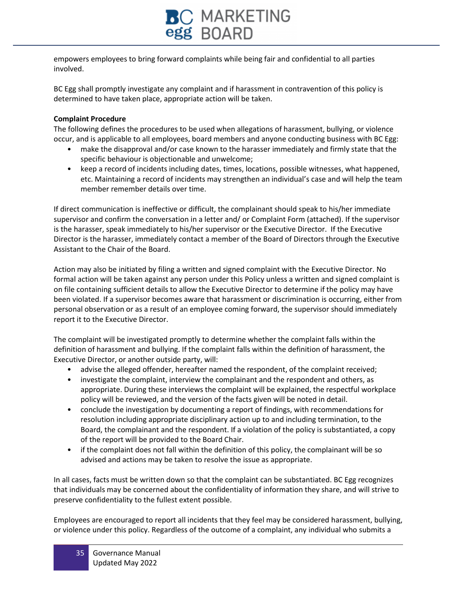![](_page_34_Picture_0.jpeg)

empowers employees to bring forward complaints while being fair and confidential to all parties involved.

BC Egg shall promptly investigate any complaint and if harassment in contravention of this policy is determined to have taken place, appropriate action will be taken.

#### **Complaint Procedure**

The following defines the procedures to be used when allegations of harassment, bullying, or violence occur, and is applicable to all employees, board members and anyone conducting business with BC Egg:

- make the disapproval and/or case known to the harasser immediately and firmly state that the specific behaviour is objectionable and unwelcome;
- keep a record of incidents including dates, times, locations, possible witnesses, what happened, etc. Maintaining a record of incidents may strengthen an individual's case and will help the team member remember details over time.

If direct communication is ineffective or difficult, the complainant should speak to his/her immediate supervisor and confirm the conversation in a letter and/ or Complaint Form (attached). If the supervisor is the harasser, speak immediately to his/her supervisor or the Executive Director. If the Executive Director is the harasser, immediately contact a member of the Board of Directors through the Executive Assistant to the Chair of the Board.

Action may also be initiated by filing a written and signed complaint with the Executive Director. No formal action will be taken against any person under this Policy unless a written and signed complaint is on file containing sufficient details to allow the Executive Director to determine if the policy may have been violated. If a supervisor becomes aware that harassment or discrimination is occurring, either from personal observation or as a result of an employee coming forward, the supervisor should immediately report it to the Executive Director.

The complaint will be investigated promptly to determine whether the complaint falls within the definition of harassment and bullying. If the complaint falls within the definition of harassment, the Executive Director, or another outside party, will:

- advise the alleged offender, hereafter named the respondent, of the complaint received;
- investigate the complaint, interview the complainant and the respondent and others, as appropriate. During these interviews the complaint will be explained, the respectful workplace policy will be reviewed, and the version of the facts given will be noted in detail.
- conclude the investigation by documenting a report of findings, with recommendations for resolution including appropriate disciplinary action up to and including termination, to the Board, the complainant and the respondent. If a violation of the policy is substantiated, a copy of the report will be provided to the Board Chair.
- if the complaint does not fall within the definition of this policy, the complainant will be so advised and actions may be taken to resolve the issue as appropriate.

In all cases, facts must be written down so that the complaint can be substantiated. BC Egg recognizes that individuals may be concerned about the confidentiality of information they share, and will strive to preserve confidentiality to the fullest extent possible.

Employees are encouraged to report all incidents that they feel may be considered harassment, bullying, or violence under this policy. Regardless of the outcome of a complaint, any individual who submits a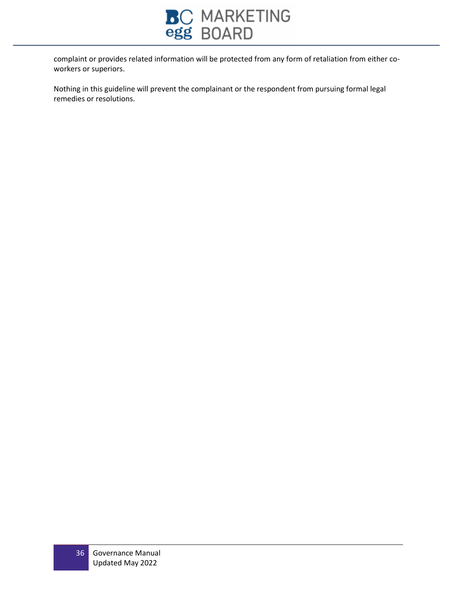![](_page_35_Picture_0.jpeg)

complaint or provides related information will be protected from any form of retaliation from either coworkers or superiors.

Nothing in this guideline will prevent the complainant or the respondent from pursuing formal legal remedies or resolutions.